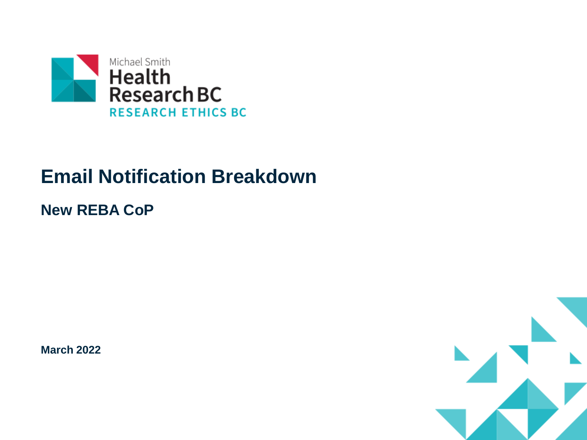

## **Email Notification Breakdown**

### **New REBA CoP**

**March 2022**

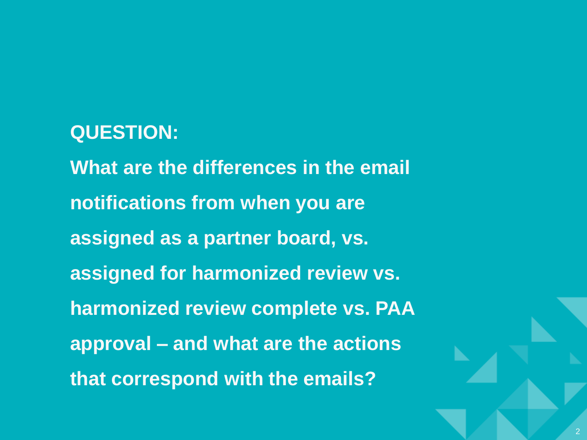### **QUESTION:**

**What are the differences in the email notifications from when you are assigned as a partner board, vs. assigned for harmonized review vs. harmonized review complete vs. PAA approval – and what are the actions that correspond with the emails?**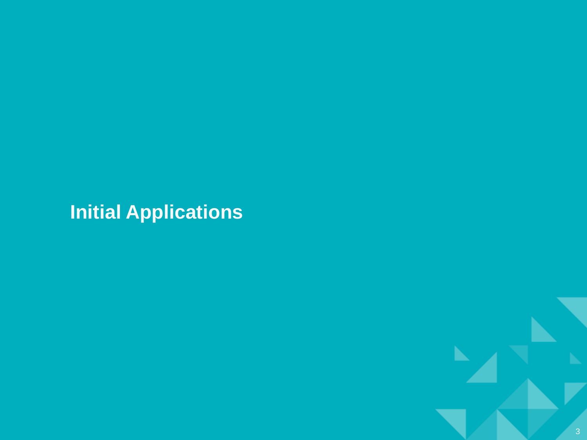# **Initial Applications**

 $\mathbf{L}$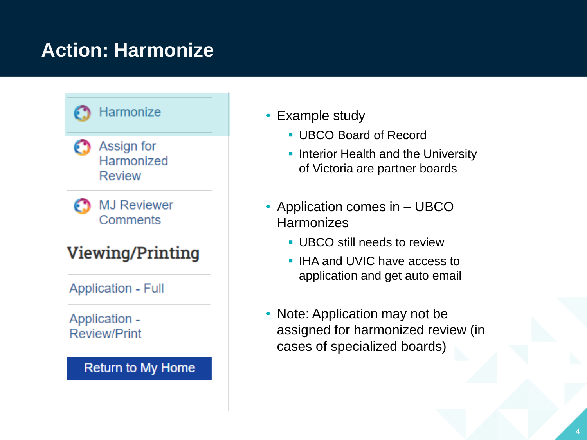## **Action: Harmonize**





**MJ Reviewer** Comments

### **Viewing/Printing**

**Application - Full** 

Application -**Review/Print** 

#### Return to My Home

- Example study
	- UBCO Board of Record
	- **Interior Health and the University** of Victoria are partner boards
- Application comes in UBCO **Harmonizes** 
	- **UBCO still needs to review**
	- IHA and UVIC have access to application and get auto email
- Note: Application may not be assigned for harmonized review (in cases of specialized boards)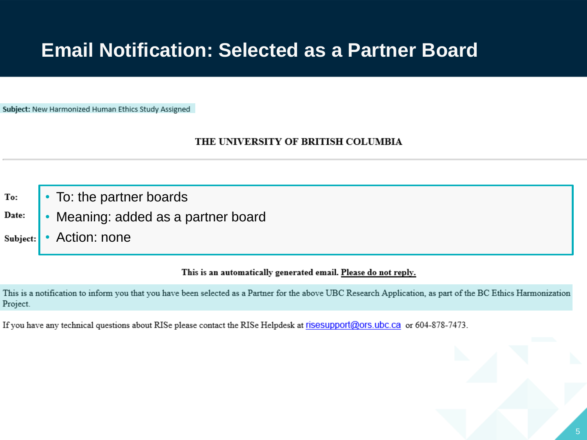### **Email Notification: Selected as a Partner Board**

Subject: New Harmonized Human Ethics Study Assigned

#### THE UNIVERSITY OF BRITISH COLUMBIA

- To: the partner boards To:
- Date: • Meaning: added as a partner board
- Action: none Subject:

#### This is an automatically generated email. Please do not reply.

This is a notification to inform you that you have been selected as a Partner for the above UBC Research Application, as part of the BC Ethics Harmonization Project.

If you have any technical questions about RISe please contact the RISe Helpdesk at risesupport@ors.ubc.ca or 604-878-7473.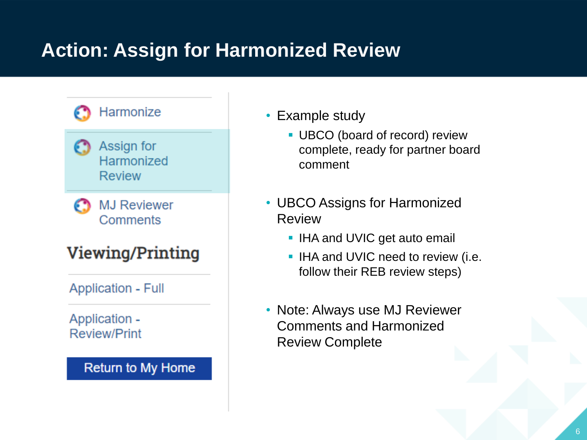# **Action: Assign for Harmonized Review**





**MJ Reviewer** Comments

### **Viewing/Printing**

**Application - Full** 

Application -**Review/Print** 

#### Return to My Home

- Example study
	- **UBCO** (board of record) review complete, ready for partner board comment
- UBCO Assigns for Harmonized Review
	- IHA and UVIC get auto email
	- **.** IHA and UVIC need to review (i.e. follow their REB review steps)
- Note: Always use MJ Reviewer Comments and Harmonized Review Complete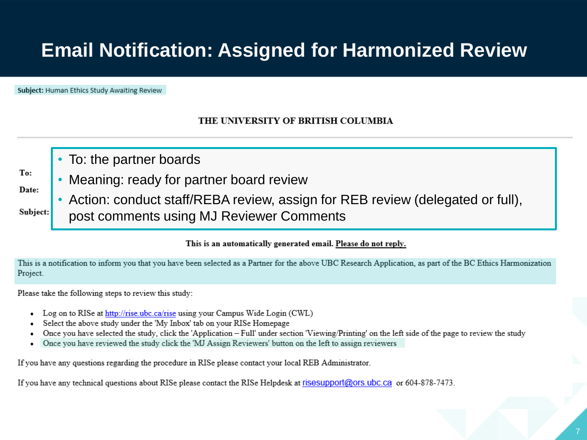## **Email Notification: Assigned for Harmonized Review**

Subject: Human Ethics Study Awaiting Review

To:

Date:

Subject:

#### THE UNIVERSITY OF BRITISH COLUMBIA

- To: the partner boards
- Meaning: ready for partner board review
- Action: conduct staff/REBA review, assign for REB review (delegated or full), post comments using MJ Reviewer Comments

#### This is an automatically generated email. Please do not reply.

This is a notification to inform you that you have been selected as a Partner for the above UBC Research Application, as part of the BC Ethics Harmonization Project.

Please take the following steps to review this study:

- Log on to RISe at http://rise.ubc.ca/rise using your Campus Wide Login (CWL)
- Select the above study under the 'My Inbox' tab on your RISe Homepage
- Once you have selected the study, click the 'Application Full' under section 'Viewing/Printing' on the left side of the page to review the study
- Once you have reviewed the study click the 'MJ Assign Reviewers' button on the left to assign reviewers

If you have any questions regarding the procedure in RISe please contact your local REB Administrator.

If you have any technical questions about RISe please contact the RISe Helpdesk at risesupport@ors.ubc.ca or 604-878-7473.

7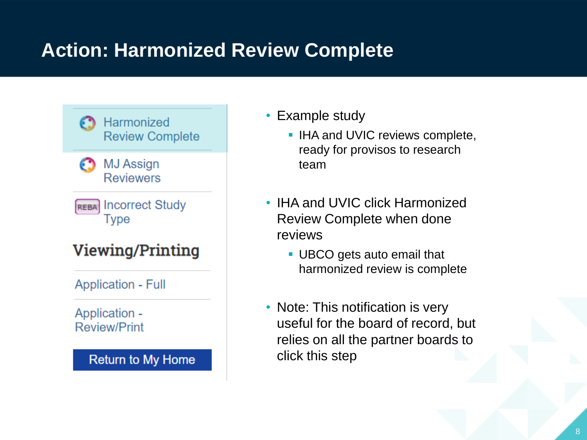# **Action: Harmonized Review Complete**



**Review/Print** 

**Return to My Home** 

- Example study
	- **.** IHA and UVIC reviews complete, ready for provisos to research team
- IHA and UVIC click Harmonized Review Complete when done reviews
	- UBCO gets auto email that harmonized review is complete
- Note: This notification is very useful for the board of record, but relies on all the partner boards to click this step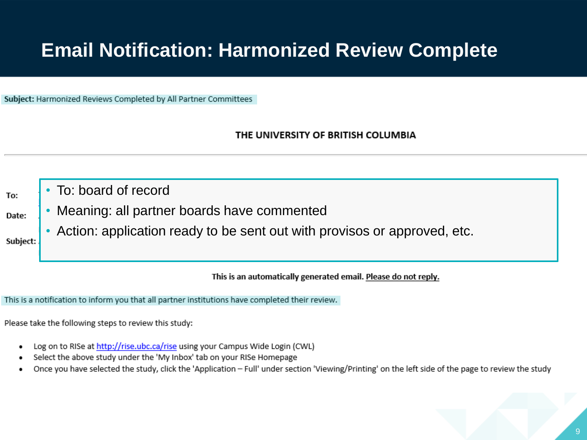## **Email Notification: Harmonized Review Complete**

Subject: Harmonized Reviews Completed by All Partner Committees

THE UNIVERSITY OF BRITISH COLUMBIA

To:

Date:

• To: board of record

- Meaning: all partner boards have commented
- Action: application ready to be sent out with provisos or approved, etc.

Subject:

This is an automatically generated email. Please do not reply.

This is a notification to inform you that all partner institutions have completed their review.

Please take the following steps to review this study:

- Log on to RISe at http://rise.ubc.ca/rise using your Campus Wide Login (CWL) ٠
- Select the above study under the 'My Inbox' tab on your RISe Homepage
- Once you have selected the study, click the 'Application Full' under section 'Viewing/Printing' on the left side of the page to review the study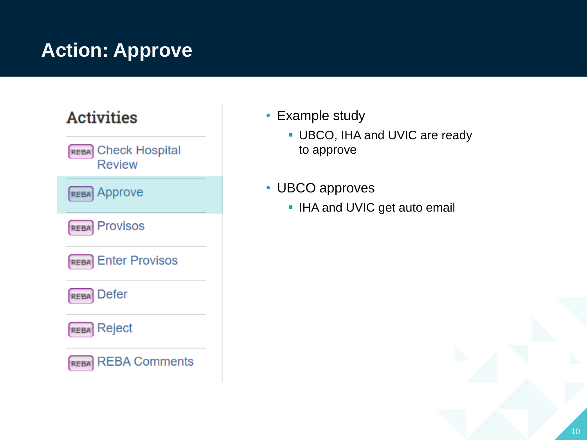# **Action: Approve**

# **Activities** REBA Check Hospital **Review REBA** Approve Provisos **REBA REBA** Enter Provisos **Defer REBA REBA** Reject **REBA** REBA Comments

- Example study
	- **· UBCO, IHA and UVIC are ready** to approve
- UBCO approves
	- **.** IHA and UVIC get auto email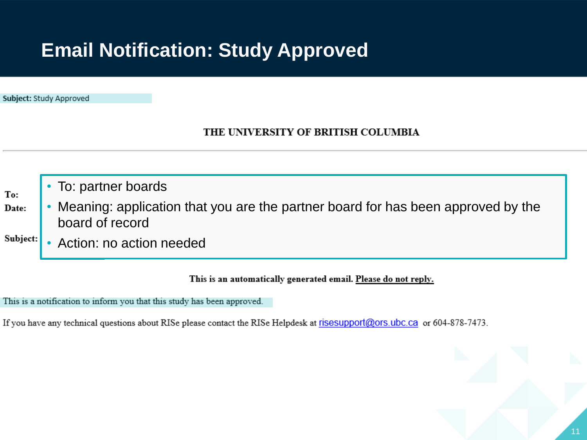## **Email Notification: Study Approved**

Subject: Study Approved

#### THE UNIVERSITY OF BRITISH COLUMBIA

• To: partner boards To: • Meaning: application that you are the partner board for has been approved by the Date: board of record Subject: • Action: no action needed

#### This is an automatically generated email. Please do not reply.

This is a notification to inform you that this study has been approved.

If you have any technical questions about RISe please contact the RISe Helpdesk at risesupport@ors.ubc.ca or 604-878-7473.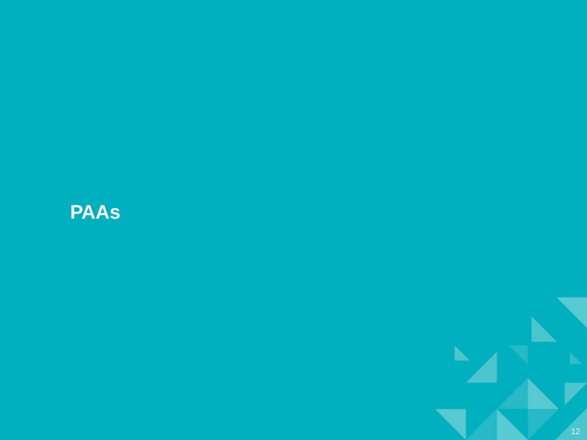# **PAAs**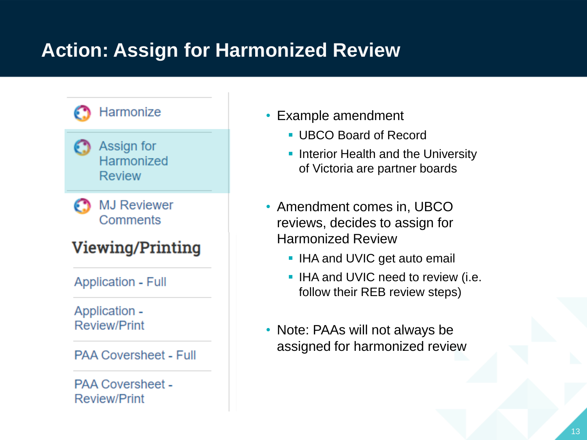# **Action: Assign for Harmonized Review**

### Harmonize



**MJ Reviewer** Comments

### **Viewing/Printing**

**Application - Full** 

Application -**Review/Print** 

**PAA Coversheet - Full** 

**PAA Coversheet -Review/Print** 

- Example amendment
	- UBCO Board of Record
	- **Interior Health and the University** of Victoria are partner boards
- Amendment comes in, UBCO reviews, decides to assign for Harmonized Review
	- **.** IHA and UVIC get auto email
	- IHA and UVIC need to review (i.e. follow their REB review steps)
- Note: PAAs will not always be assigned for harmonized review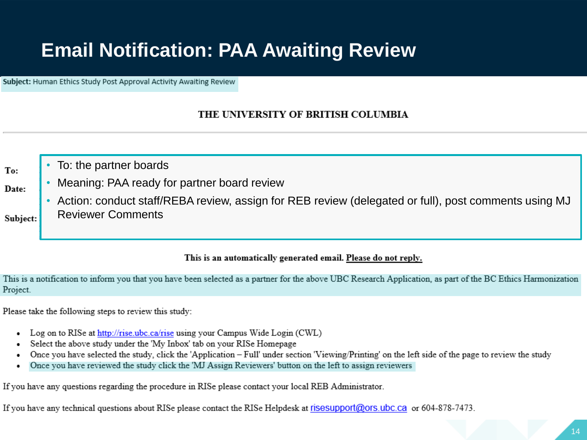## **Email Notification: PAA Awaiting Review**

Subject: Human Ethics Study Post Approval Activity Awaiting Review

#### THE UNIVERSITY OF BRITISH COLUMBIA

- To: the partner boards
- Date:

Subject:

To:

- Meaning: PAA ready for partner board review
	- Action: conduct staff/REBA review, assign for REB review (delegated or full), post comments using MJ Reviewer Comments

#### This is an automatically generated email. Please do not reply.

This is a notification to inform you that you have been selected as a partner for the above UBC Research Application, as part of the BC Ethics Harmonization Project.

Please take the following steps to review this study:

- Log on to RISe at http://rise.ubc.ca/rise using your Campus Wide Login (CWL)
- Select the above study under the 'My Inbox' tab on your RISe Homepage
- Once you have selected the study, click the 'Application Full' under section 'Viewing/Printing' on the left side of the page to review the study
- Once you have reviewed the study click the 'MJ Assign Reviewers' button on the left to assign reviewers

If you have any questions regarding the procedure in RISe please contact your local REB Administrator.

If you have any technical questions about RISe please contact the RISe Helpdesk at risesupport@ors.ubc.ca or 604-878-7473.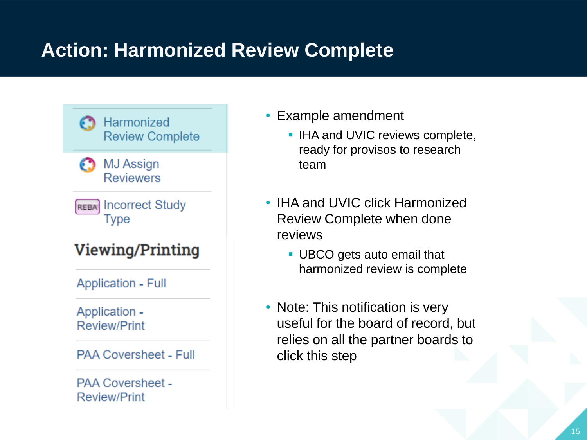# **Action: Harmonized Review Complete**



**PAA Coversheet - Full** 

**PAA Coversheet -Review/Print** 

- Example amendment
	- **.** IHA and UVIC reviews complete, ready for provisos to research team
- IHA and UVIC click Harmonized Review Complete when done reviews
	- UBCO gets auto email that harmonized review is complete
- Note: This notification is very useful for the board of record, but relies on all the partner boards to click this step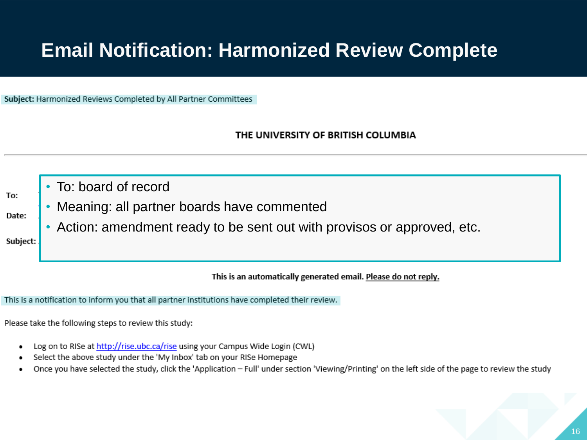## **Email Notification: Harmonized Review Complete**

Subject: Harmonized Reviews Completed by All Partner Committees

THE UNIVERSITY OF BRITISH COLUMBIA

To:

Date:

- To: board of record
- Meaning: all partner boards have commented
- Action: amendment ready to be sent out with provisos or approved, etc.

Subject:

This is an automatically generated email. Please do not reply.

This is a notification to inform you that all partner institutions have completed their review.

Please take the following steps to review this study:

- Log on to RISe at http://rise.ubc.ca/rise using your Campus Wide Login (CWL) ٠
- Select the above study under the 'My Inbox' tab on your RISe Homepage
- Once you have selected the study, click the 'Application Full' under section 'Viewing/Printing' on the left side of the page to review the study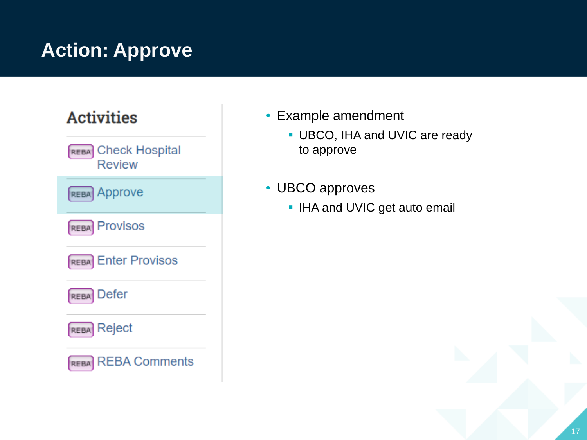# **Action: Approve**

### **Activities** REBA Check Hospital **Review REBA** Approve **Provisos REBA Enter Provisos REBA Defer REBA REBA** Reject **REBA** REBA Comments

- Example amendment
	- **· UBCO, IHA and UVIC are ready** to approve
- UBCO approves
	- **.** IHA and UVIC get auto email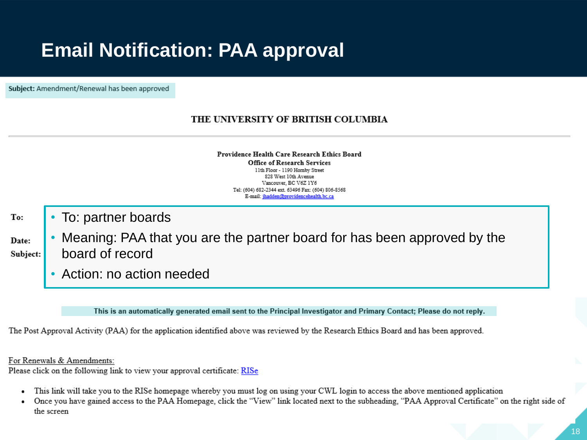## **Email Notification: PAA approval**

Subject: Amendment/Renewal has been approved

#### THE UNIVERSITY OF BRITISH COLUMBIA

Providence Health Care Research Ethics Board **Office of Research Services** 11th Floor - 1190 Hornby Street 828 West 10th Avenue Vancouver, BC V6Z 1Y6 Tel: (604) 682-2344 ext. 63496 Fax: (604) 806-8568 E-mail: ihadden@providencehealth.bc.ca

To:

Date:

• To: partner boards

- Meaning: PAA that you are the partner board for has been approved by the board of record Subject:
	- Action: no action needed

This is an automatically generated email sent to the Principal Investigator and Primary Contact; Please do not reply.

The Post Approval Activity (PAA) for the application identified above was reviewed by the Research Ethics Board and has been approved.

For Renewals & Amendments:

Please click on the following link to view your approval certificate: RISe

- This link will take you to the RISe homepage whereby you must log on using your CWL login to access the above mentioned application
- Once you have gained access to the PAA Homepage, click the "View" link located next to the subheading, "PAA Approval Certificate" on the right side of the screen